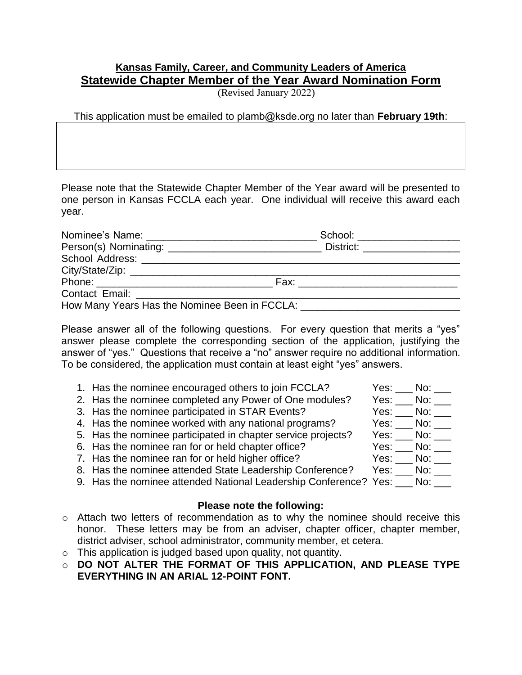## **Kansas Family, Career, and Community Leaders of America Statewide Chapter Member of the Year Award Nomination Form**

(Revised January 2022)

This application must be emailed to plamb@ksde.org no later than **February 19th**:

Please note that the Statewide Chapter Member of the Year award will be presented to one person in Kansas FCCLA each year. One individual will receive this award each year.

|                                                                                                                 | School: ___________________        |  |
|-----------------------------------------------------------------------------------------------------------------|------------------------------------|--|
|                                                                                                                 | District: <u>_________________</u> |  |
|                                                                                                                 |                                    |  |
|                                                                                                                 |                                    |  |
|                                                                                                                 | Fax: _____________________________ |  |
| Contact Email: Exercise Services and Services Services and Services Services and Services Services and Services |                                    |  |
| How Many Years Has the Nominee Been in FCCLA: __________________________________                                |                                    |  |

Please answer all of the following questions. For every question that merits a "yes" answer please complete the corresponding section of the application, justifying the answer of "yes." Questions that receive a "no" answer require no additional information. To be considered, the application must contain at least eight "yes" answers.

| 1. Has the nominee encouraged others to join FCCLA?                        | Yes: No: |
|----------------------------------------------------------------------------|----------|
| 2. Has the nominee completed any Power of One modules?                     | Yes: No: |
| 3. Has the nominee participated in STAR Events?                            | Yes: No: |
| 4. Has the nominee worked with any national programs?                      | Yes: No: |
| 5. Has the nominee participated in chapter service projects?               | Yes: No: |
| 6. Has the nominee ran for or held chapter office?                         | Yes: No: |
| 7. Has the nominee ran for or held higher office?                          | Yes: No: |
| 8. Has the nominee attended State Leadership Conference?                   | Yes: No: |
| 9. Has the nominee attended National Leadership Conference? Yes: ___ No: _ |          |

## **Please note the following:**

- o Attach two letters of recommendation as to why the nominee should receive this honor. These letters may be from an adviser, chapter officer, chapter member, district adviser, school administrator, community member, et cetera.
- $\circ$  This application is judged based upon quality, not quantity.
- o **DO NOT ALTER THE FORMAT OF THIS APPLICATION, AND PLEASE TYPE EVERYTHING IN AN ARIAL 12-POINT FONT.**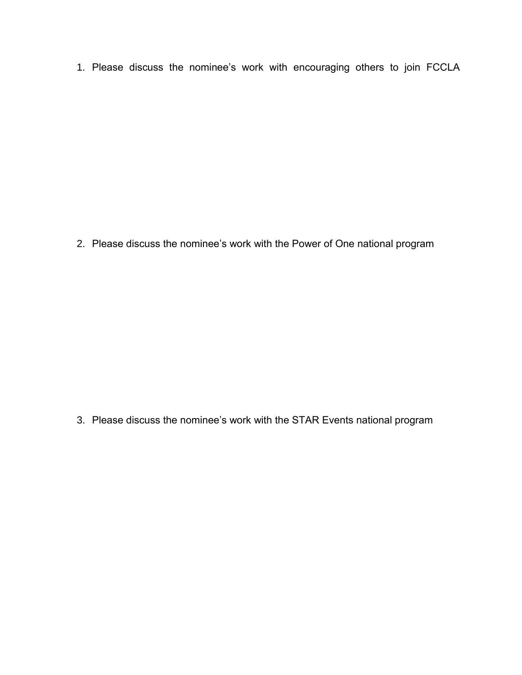1. Please discuss the nominee's work with encouraging others to join FCCLA

2. Please discuss the nominee's work with the Power of One national program

3. Please discuss the nominee's work with the STAR Events national program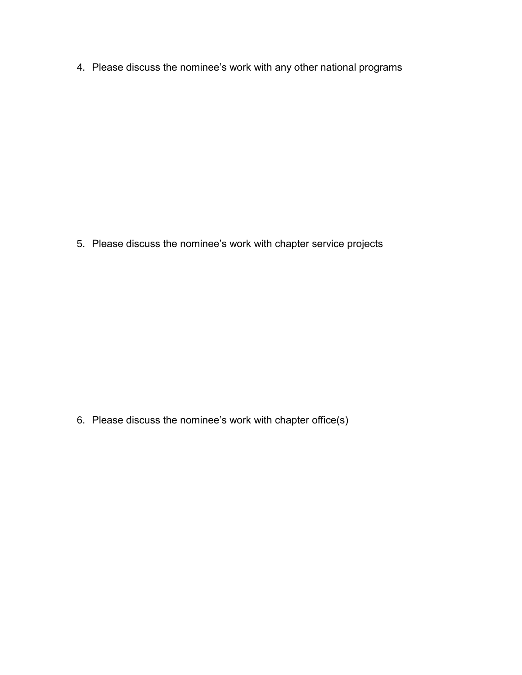4. Please discuss the nominee's work with any other national programs

5. Please discuss the nominee's work with chapter service projects

6. Please discuss the nominee's work with chapter office(s)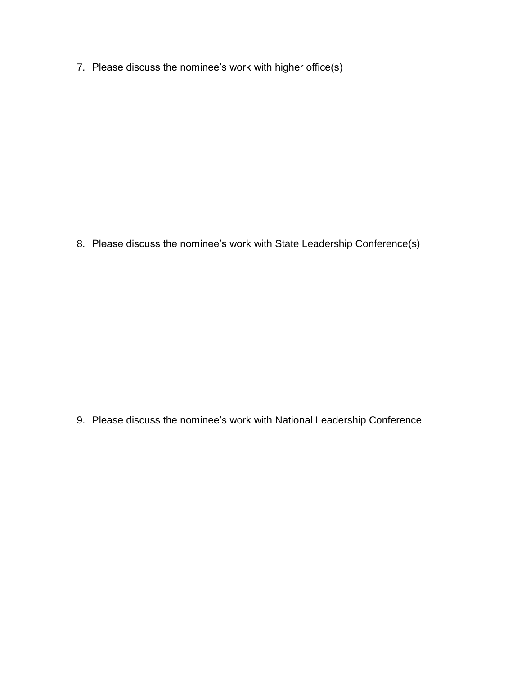7. Please discuss the nominee's work with higher office(s)

8. Please discuss the nominee's work with State Leadership Conference(s)

9. Please discuss the nominee's work with National Leadership Conference